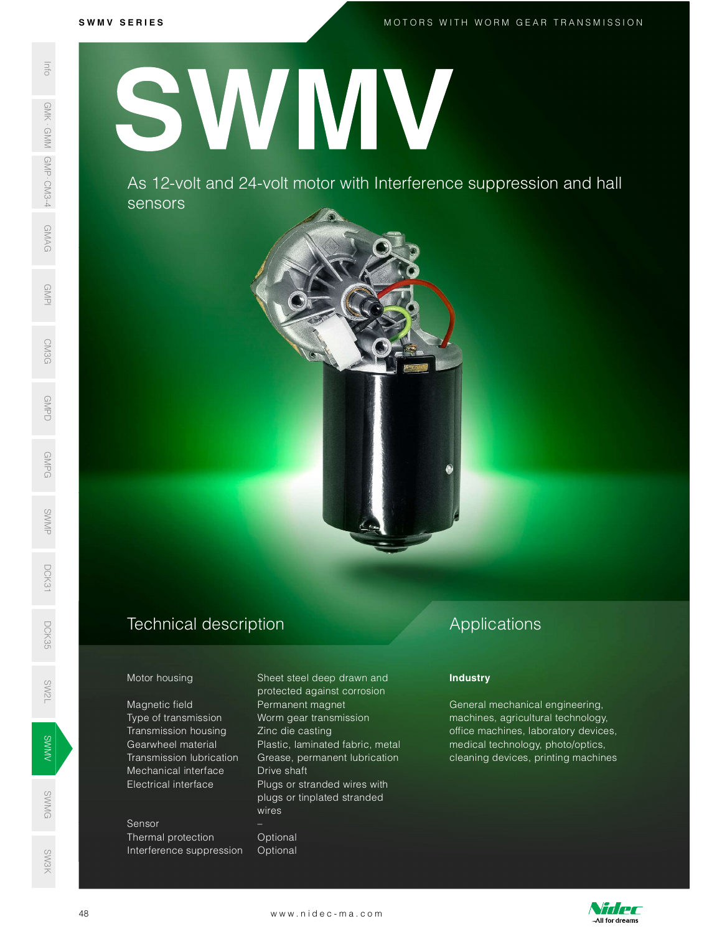M O T O R S W I T H W O R M G E A R T R A N S M I S S I O N

SWMG SW3K

S W M V S E R I E S SWAS 12-VO<br>
SERIES AS 12-VO<br>
SERIES AS 12-VO<br>
SERIES AS 12-VO<br>
SERIES AS 12-VO<br>
SERIES AS 12-VO<br>
Motor housing<br>
Magnetic field<br>
Transmission<br>
Transmission<br>
Mechanical interference s<br>
SERIES Transmission<br>
Electrical interfe SWMV

As 12-volt and 24-volt motor with Interference suppression and hall sensors



Magnetic field **Permanent magnet** Transmission housing Zinc die casting Mechanical interface Drive shaft SWEET CONTROLLER<br>
SEXTEND CONTROLLER<br>
STRAND Transmission lubrication

> Sensor Thermal protection **Optional** Interference suppression Optional

Motor housing Sheet steel deep drawn and protected against corrosion Type of transmission Worm gear transmission Gearwheel material Plastic, laminated fabric, metal Grease, permanent lubrication Electrical interface Plugs or stranded wires with plugs or tinplated stranded wires and the state wires and the state of the state of the state of the state of the state of the state of th Mechanical interface Drive shaft<br>
Electrical interface Plugs or stranded wires<br>
plugs or tinplated stranded<br>
wires<br>
Sensor<br>
Thermal protection Optional<br>
Interference suppression Optional<br>
WWW.nidec-ma.com

# Applications

## **Industry**

General mechanical engineering, machines, agricultural technology, office machines, laboratory devices, medical technology, photo/optics, cleaning devices, printing machines

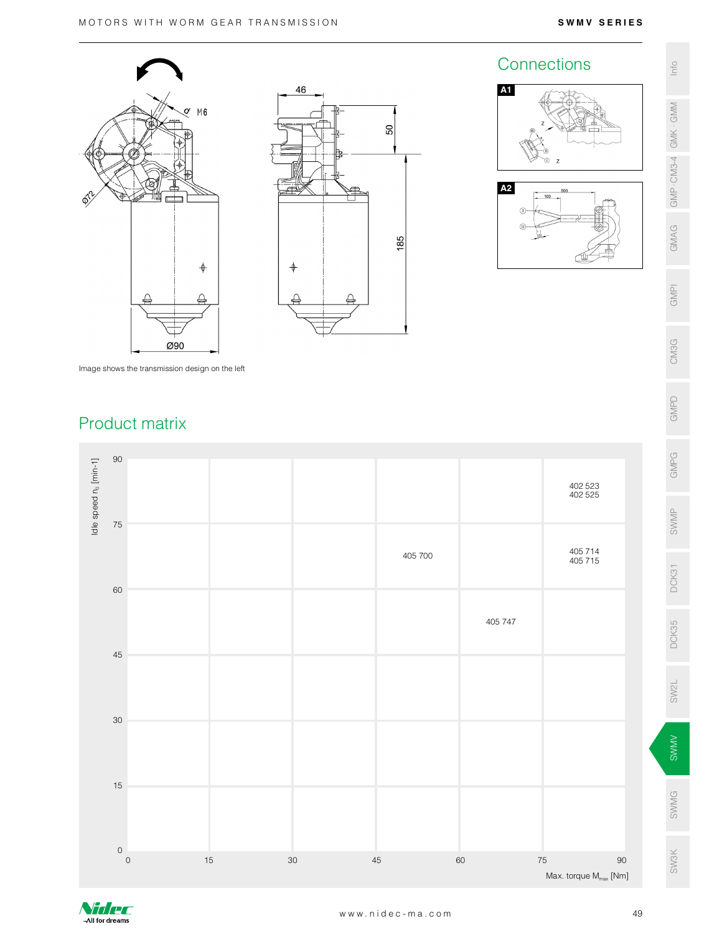



# A1 A2 Connections  $\frac{2}{3}$

Image shows the transmission design on the left

# Product matrix